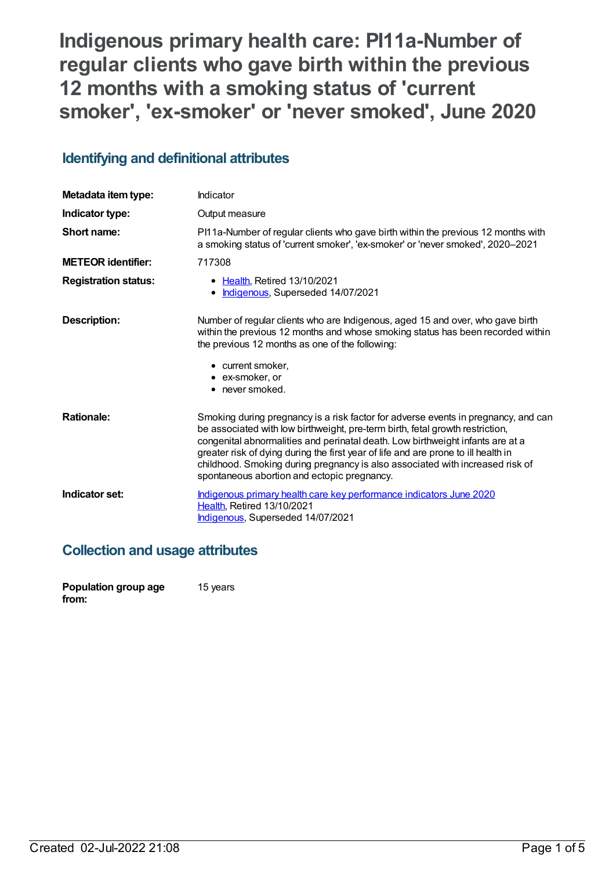# **Indigenous primary health care: PI11a-Number of regular clients who gave birth within the previous 12 months with a smoking status of 'current smoker' , 'ex-smoker' or 'never smoked' , June 2020**

## **Identifying and definitional attributes**

| Metadata item type:         | Indicator                                                                                                                                                                                                                                                                                                                                                                                                                                                                   |  |
|-----------------------------|-----------------------------------------------------------------------------------------------------------------------------------------------------------------------------------------------------------------------------------------------------------------------------------------------------------------------------------------------------------------------------------------------------------------------------------------------------------------------------|--|
| Indicator type:             | Output measure                                                                                                                                                                                                                                                                                                                                                                                                                                                              |  |
| Short name:                 | PI11a-Number of regular clients who gave birth within the previous 12 months with<br>a smoking status of 'current smoker', 'ex-smoker' or 'never smoked', 2020-2021                                                                                                                                                                                                                                                                                                         |  |
| <b>METEOR</b> identifier:   | 717308                                                                                                                                                                                                                                                                                                                                                                                                                                                                      |  |
| <b>Registration status:</b> | • Health, Retired 13/10/2021<br>Indigenous, Superseded 14/07/2021                                                                                                                                                                                                                                                                                                                                                                                                           |  |
| <b>Description:</b>         | Number of regular clients who are Indigenous, aged 15 and over, who gave birth<br>within the previous 12 months and whose smoking status has been recorded within<br>the previous 12 months as one of the following:                                                                                                                                                                                                                                                        |  |
|                             | • current smoker,<br>• ex-smoker, or<br>• never smoked.                                                                                                                                                                                                                                                                                                                                                                                                                     |  |
| <b>Rationale:</b>           | Smoking during pregnancy is a risk factor for adverse events in pregnancy, and can<br>be associated with low birthweight, pre-term birth, fetal growth restriction,<br>congenital abnormalities and perinatal death. Low birthweight infants are at a<br>greater risk of dying during the first year of life and are prone to ill health in<br>childhood. Smoking during pregnancy is also associated with increased risk of<br>spontaneous abortion and ectopic pregnancy. |  |
| Indicator set:              | Indigenous primary health care key performance indicators June 2020<br>Health, Retired 13/10/2021<br>Indigenous, Superseded 14/07/2021                                                                                                                                                                                                                                                                                                                                      |  |

## **Collection and usage attributes**

| Population group age | 15 years |
|----------------------|----------|
| from:                |          |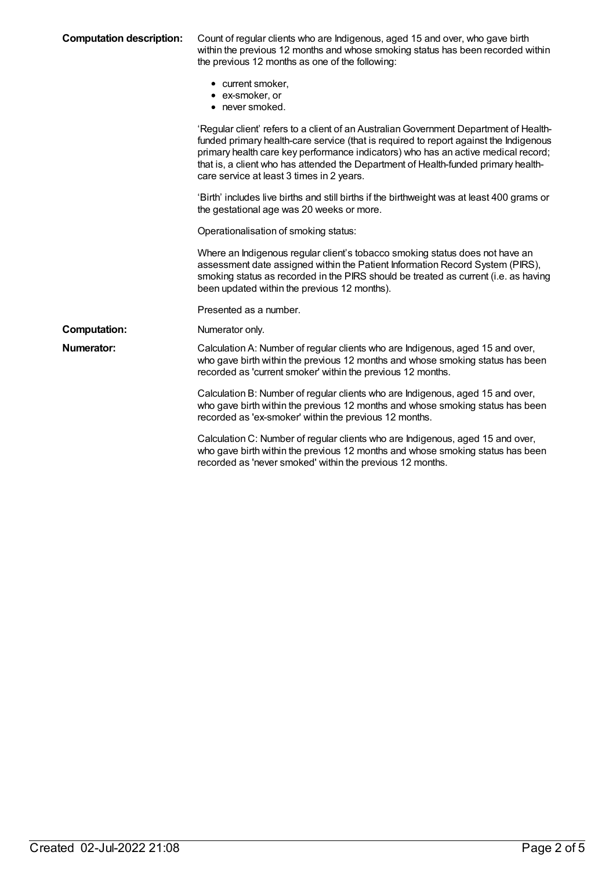| <b>Computation description:</b> | Count of regular clients who are Indigenous, aged 15 and over, who gave birth<br>within the previous 12 months and whose smoking status has been recorded within<br>the previous 12 months as one of the following:                                                                                                                                                                                    |
|---------------------------------|--------------------------------------------------------------------------------------------------------------------------------------------------------------------------------------------------------------------------------------------------------------------------------------------------------------------------------------------------------------------------------------------------------|
|                                 | • current smoker,<br>• ex-smoker, or<br>• never smoked.                                                                                                                                                                                                                                                                                                                                                |
|                                 | 'Regular client' refers to a client of an Australian Government Department of Health-<br>funded primary health-care service (that is required to report against the Indigenous<br>primary health care key performance indicators) who has an active medical record;<br>that is, a client who has attended the Department of Health-funded primary health-<br>care service at least 3 times in 2 years. |
|                                 | 'Birth' includes live births and still births if the birthweight was at least 400 grams or<br>the gestational age was 20 weeks or more.                                                                                                                                                                                                                                                                |
|                                 | Operationalisation of smoking status:                                                                                                                                                                                                                                                                                                                                                                  |
|                                 | Where an Indigenous regular client's tobacco smoking status does not have an<br>assessment date assigned within the Patient Information Record System (PIRS),<br>smoking status as recorded in the PIRS should be treated as current (i.e. as having<br>been updated within the previous 12 months).                                                                                                   |
|                                 | Presented as a number.                                                                                                                                                                                                                                                                                                                                                                                 |
| <b>Computation:</b>             | Numerator only.                                                                                                                                                                                                                                                                                                                                                                                        |
| <b>Numerator:</b>               | Calculation A: Number of regular clients who are Indigenous, aged 15 and over,<br>who gave birth within the previous 12 months and whose smoking status has been<br>recorded as 'current smoker' within the previous 12 months.                                                                                                                                                                        |
|                                 | Calculation B: Number of regular clients who are Indigenous, aged 15 and over,<br>who gave birth within the previous 12 months and whose smoking status has been<br>recorded as 'ex-smoker' within the previous 12 months.                                                                                                                                                                             |
|                                 | Calculation C: Number of regular clients who are Indigenous, aged 15 and over,<br>who gave birth within the previous 12 months and whose smoking status has been                                                                                                                                                                                                                                       |

recorded as 'never smoked' within the previous 12 months.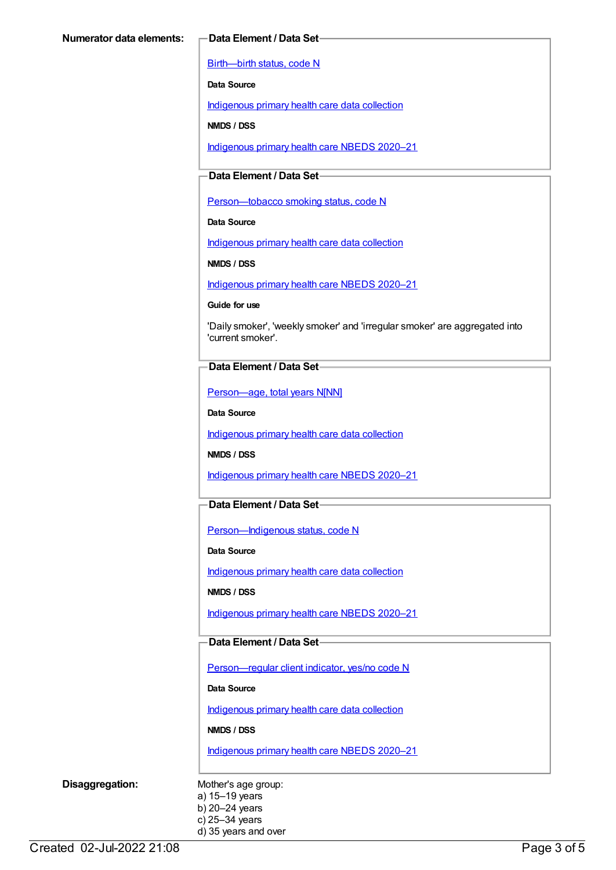[Birth—birth](https://meteor.aihw.gov.au/content/269949) status, code N

**Data Source**

[Indigenous](https://meteor.aihw.gov.au/content/430643) primary health care data collection

**NMDS / DSS**

[Indigenous](https://meteor.aihw.gov.au/content/715320) primary health care NBEDS 2020–21

### **Data Element / Data Set**

Person-tobacco smoking status, code N

**Data Source**

[Indigenous](https://meteor.aihw.gov.au/content/430643) primary health care data collection

**NMDS / DSS**

[Indigenous](https://meteor.aihw.gov.au/content/715320) primary health care NBEDS 2020–21

**Guide for use**

'Daily smoker', 'weekly smoker' and 'irregular smoker' are aggregated into 'current smoker'.

#### **Data Element / Data Set**

[Person—age,](https://meteor.aihw.gov.au/content/303794) total years N[NN]

**Data Source**

[Indigenous](https://meteor.aihw.gov.au/content/430643) primary health care data collection

**NMDS / DSS**

[Indigenous](https://meteor.aihw.gov.au/content/715320) primary health care NBEDS 2020–21

#### **Data Element / Data Set**

Person-Indigenous status, code N

**Data Source**

[Indigenous](https://meteor.aihw.gov.au/content/430643) primary health care data collection

**NMDS / DSS**

[Indigenous](https://meteor.aihw.gov.au/content/715320) primary health care NBEDS 2020–21

#### **Data Element / Data Set**

[Person—regular](https://meteor.aihw.gov.au/content/686291) client indicator, yes/no code N

**Data Source**

[Indigenous](https://meteor.aihw.gov.au/content/430643) primary health care data collection

**NMDS / DSS**

[Indigenous](https://meteor.aihw.gov.au/content/715320) primary health care NBEDS 2020–21

**Disaggregation:** Mother's age group: a) 15–19 years b) 20–24 years c) 25–34 years d) 35 years and over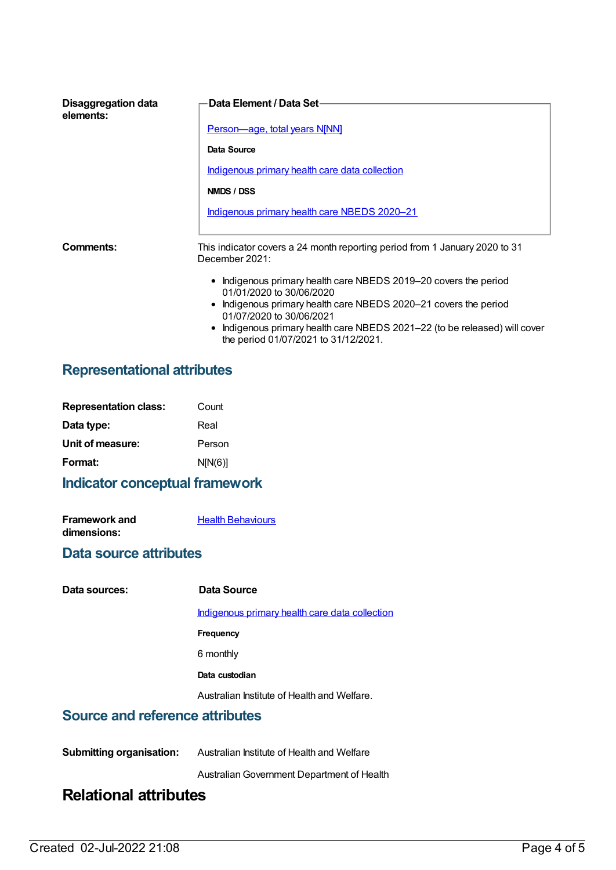| Disaggregation data<br>elements: | <b>Data Element / Data Set-</b>                                                                                    |  |
|----------------------------------|--------------------------------------------------------------------------------------------------------------------|--|
|                                  | <b>Person-age, total years N[NN]</b>                                                                               |  |
|                                  | Data Source                                                                                                        |  |
|                                  | <u>Indigenous primary health care data collection</u>                                                              |  |
|                                  | NMDS / DSS                                                                                                         |  |
|                                  | Indigenous primary health care NBEDS 2020-21                                                                       |  |
|                                  |                                                                                                                    |  |
| Comments:                        | This indicator covers a 24 month reporting period from 1 January 2020 to 31<br>December 2021:                      |  |
|                                  | • Indigenous primary health care NBEDS 2019–20 covers the period<br>01/01/2020 to 30/06/2020                       |  |
|                                  | • Indigenous primary health care NBEDS 2020–21 covers the period<br>01/07/2020 to 30/06/2021                       |  |
|                                  | • Indigenous primary health care NBEDS 2021-22 (to be released) will cover<br>the period 01/07/2021 to 31/12/2021. |  |

## **Representational attributes**

| <b>Representation class:</b> | Count   |
|------------------------------|---------|
| Data type:                   | Real    |
| Unit of measure:             | Person  |
| Format:                      | N[N(6)] |
|                              |         |

## **Indicator conceptual framework**

| <b>Framework and</b> | <b>Health Behaviours</b> |
|----------------------|--------------------------|
| dimensions:          |                          |

## **Data source attributes**

| Data sources:                          | Data Source                                    |
|----------------------------------------|------------------------------------------------|
|                                        | Indigenous primary health care data collection |
|                                        | Frequency                                      |
|                                        | 6 monthly                                      |
|                                        | Data custodian                                 |
|                                        | Australian Institute of Health and Welfare.    |
| <b>Source and reference attributes</b> |                                                |
|                                        |                                                |

**Submitting organisation:** Australian Institute of Health and Welfare

AustralianGovernment Department of Health

## **Relational attributes**